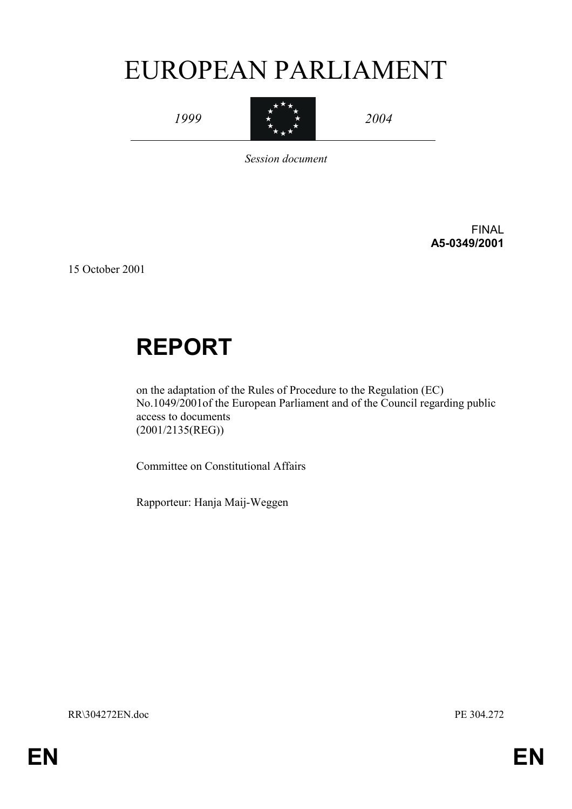# EUROPEAN PARLIAMENT

*1999* 



*2004* 

*Session document* 

FINAL **A5-0349/2001** 

15 October 2001

# **REPORT**

on the adaptation of the Rules of Procedure to the Regulation (EC) No.1049/2001of the European Parliament and of the Council regarding public access to documents (2001/2135(REG))

Committee on Constitutional Affairs

Rapporteur: Hanja Maij-Weggen

RR\304272EN.doc PE 304.272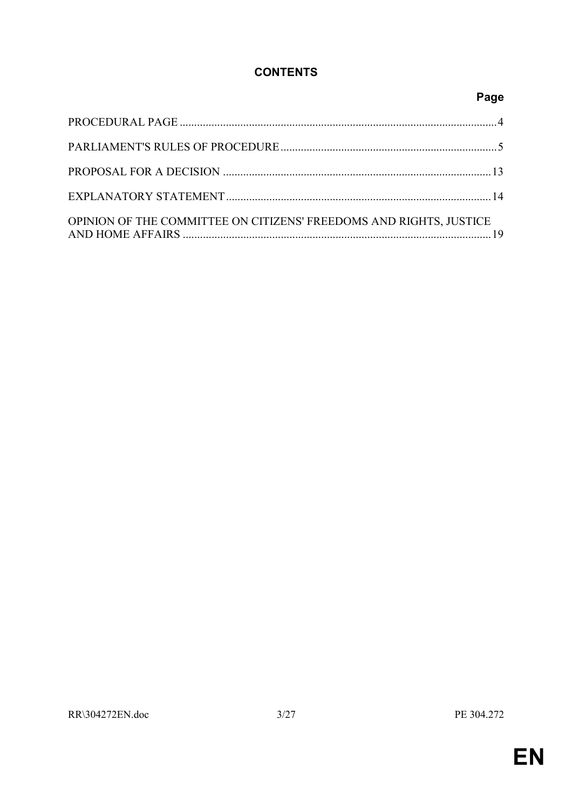# **CONTENTS**

# Page

| OPINION OF THE COMMITTEE ON CITIZENS' FREEDOMS AND RIGHTS, JUSTICE |  |
|--------------------------------------------------------------------|--|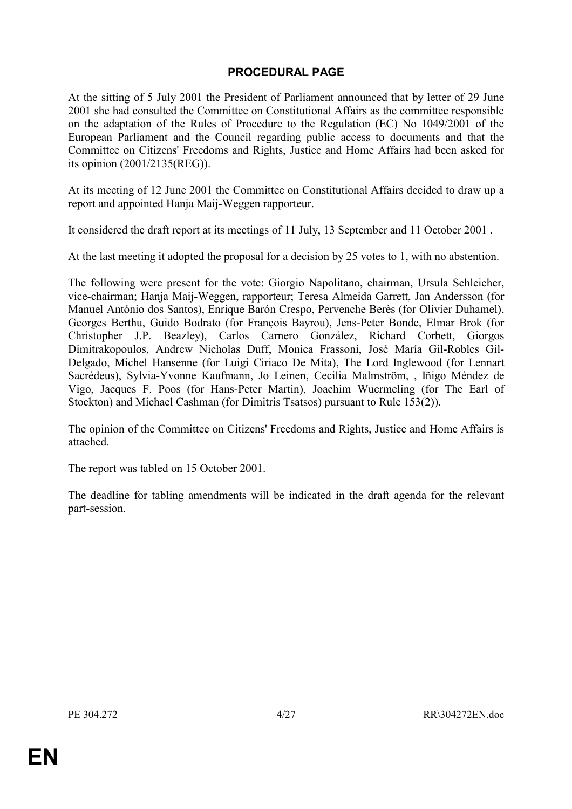# **PROCEDURAL PAGE**

<span id="page-3-0"></span>At the sitting of 5 July 2001 the President of Parliament announced that by letter of 29 June 2001 she had consulted the Committee on Constitutional Affairs as the committee responsible on the adaptation of the Rules of Procedure to the Regulation (EC) No 1049/2001 of the European Parliament and the Council regarding public access to documents and that the Committee on Citizens' Freedoms and Rights, Justice and Home Affairs had been asked for its opinion (2001/2135(REG)).

At its meeting of 12 June 2001 the Committee on Constitutional Affairs decided to draw up a report and appointed Hanja Maij-Weggen rapporteur.

It considered the draft report at its meetings of 11 July, 13 September and 11 October 2001 .

At the last meeting it adopted the proposal for a decision by 25 votes to 1, with no abstention.

The following were present for the vote: Giorgio Napolitano, chairman, Ursula Schleicher, vice-chairman; Hanja Maij-Weggen, rapporteur; Teresa Almeida Garrett, Jan Andersson (for Manuel António dos Santos), Enrique Barón Crespo, Pervenche Berès (for Olivier Duhamel), Georges Berthu, Guido Bodrato (for François Bayrou), Jens-Peter Bonde, Elmar Brok (for Christopher J.P. Beazley), Carlos Carnero González, Richard Corbett, Giorgos Dimitrakopoulos, Andrew Nicholas Duff, Monica Frassoni, José María Gil-Robles Gil-Delgado, Michel Hansenne (for Luigi Ciriaco De Mita), The Lord Inglewood (for Lennart Sacrédeus), Sylvia-Yvonne Kaufmann, Jo Leinen, Cecilia Malmström, , Iñigo Méndez de Vigo, Jacques F. Poos (for Hans-Peter Martin), Joachim Wuermeling (for The Earl of Stockton) and Michael Cashman (for Dimitris Tsatsos) pursuant to Rule 153(2)).

The opinion of the Committee on Citizens' Freedoms and Rights, Justice and Home Affairs is attached.

The report was tabled on 15 October 2001.

The deadline for tabling amendments will be indicated in the draft agenda for the relevant part-session.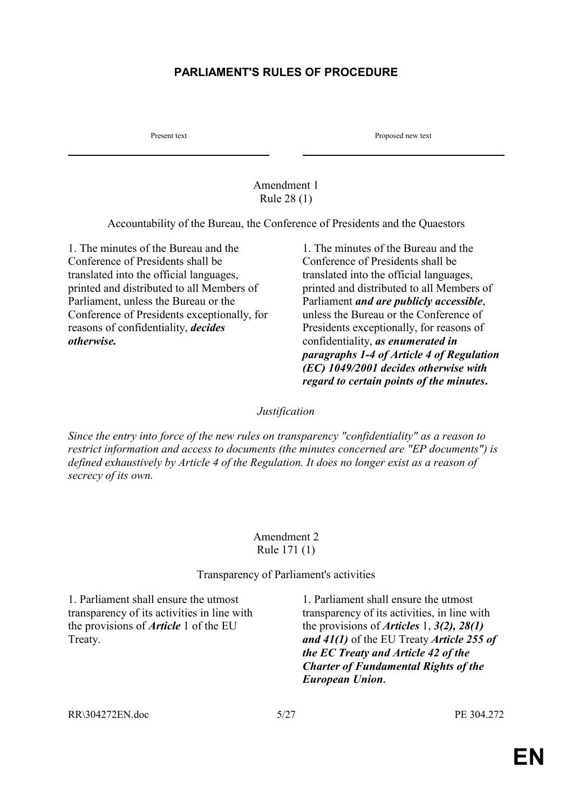# <span id="page-4-0"></span>**PARLIAMENT'S RULES OF PROCEDURE**

Present text Proposed new text

#### Amendment 1 Rule 28 (1)

Accountability of the Bureau, the Conference of Presidents and the Quaestors

1. The minutes of the Bureau and the Conference of Presidents shall be translated into the official languages, printed and distributed to all Members of Parliament, unless the Bureau or the Conference of Presidents exceptionally, for reasons of confidentiality, *decides otherwise.*

1. The minutes of the Bureau and the Conference of Presidents shall be translated into the official languages, printed and distributed to all Members of Parliament *and are publicly accessible*, unless the Bureau or the Conference of Presidents exceptionally, for reasons of confidentiality, *as enumerated in paragraphs 1-4 of Article 4 of Regulation (EC) 1049/2001 decides otherwise with regard to certain points of the minutes.* 

## *Justification*

*Since the entry into force of the new rules on transparency "confidentiality" as a reason to restrict information and access to documents (the minutes concerned are "EP documents") is defined exhaustively by Article 4 of the Regulation. It does no longer exist as a reason of secrecy of its own.* 

#### Amendment 2 Rule 171 (1)

## Transparency of Parliament's activities

1. Parliament shall ensure the utmost transparency of its activities in line with the provisions of *Article* 1 of the EU Treaty.

1. Parliament shall ensure the utmost transparency of its activities, in line with the provisions of *Articles* 1, *3(2), 28(1) and 41(1)* of the EU Treaty *Article 255 of the EC Treaty and Article 42 of the Charter of Fundamental Rights of the European Union.*

RR\304272EN.doc 5/27 PE 304.272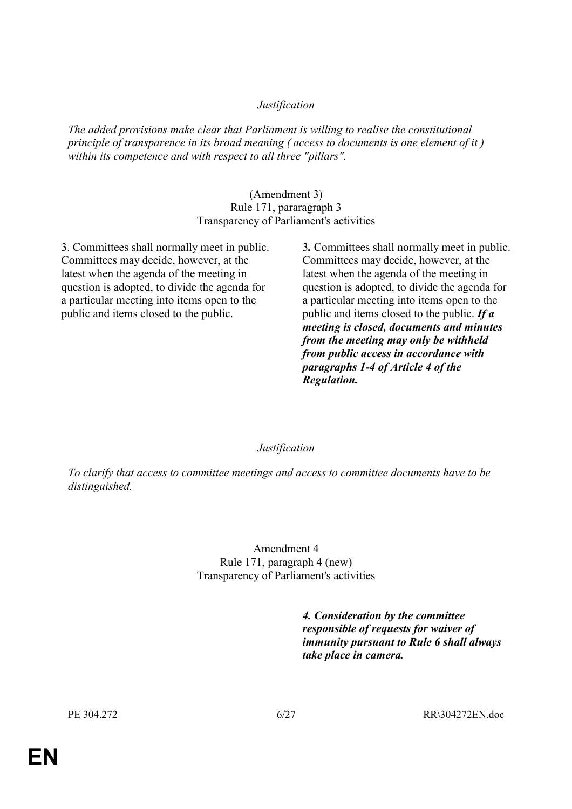## *Justification*

*The added provisions make clear that Parliament is willing to realise the constitutional principle of transparence in its broad meaning ( access to documents is one element of it ) within its competence and with respect to all three "pillars".* 

#### (Amendment 3) Rule 171, pararagraph 3 Transparency of Parliament's activities

3. Committees shall normally meet in public. Committees may decide, however, at the latest when the agenda of the meeting in question is adopted, to divide the agenda for a particular meeting into items open to the public and items closed to the public.

3*.* Committees shall normally meet in public. Committees may decide, however, at the latest when the agenda of the meeting in question is adopted, to divide the agenda for a particular meeting into items open to the public and items closed to the public. *If a meeting is closed, documents and minutes from the meeting may only be withheld from public access in accordance with paragraphs 1-4 of Article 4 of the Regulation.* 

## *Justification*

*To clarify that access to committee meetings and access to committee documents have to be distinguished.* 

> Amendment 4 Rule 171, paragraph 4 (new) Transparency of Parliament's activities

> > *4. Consideration by the committee responsible of requests for waiver of immunity pursuant to Rule 6 shall always take place in camera.*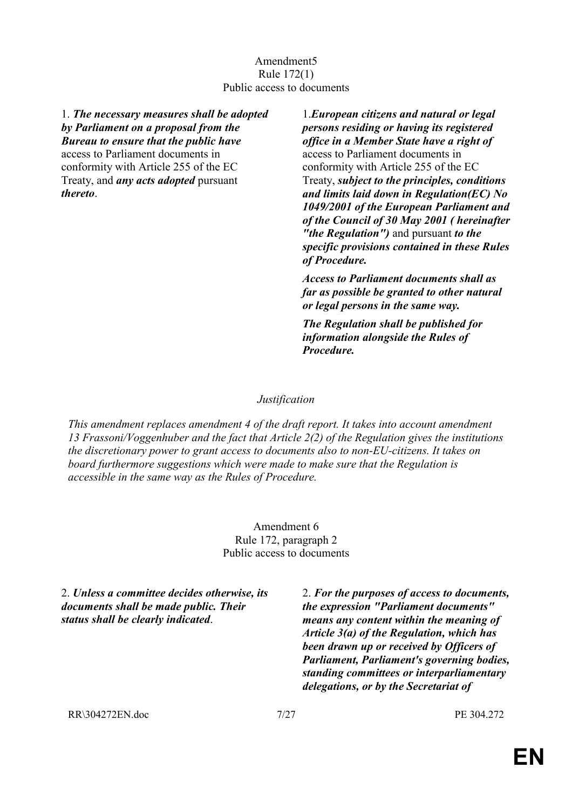## Amendment5 Rule 172(1) Public access to documents

1. *The necessary measures shall be adopted by Parliament on a proposal from the Bureau to ensure that the public have* access to Parliament documents in

conformity with Article 255 of the EC Treaty, and *any acts adopted* pursuant *thereto*.

1.*European citizens and natural or legal persons residing or having its registered office in a Member State have a right of*  access to Parliament documents in conformity with Article 255 of the EC Treaty, *subject to the principles, conditions and limits laid down in Regulation(EC) No 1049/2001 of the European Parliament and of the Council of 30 May 2001 ( hereinafter "the Regulation")* and pursuant *to the specific provisions contained in these Rules of Procedure.*

*Access to Parliament documents shall as far as possible be granted to other natural or legal persons in the same way.*

*The Regulation shall be published for information alongside the Rules of Procedure.*

## *Justification*

*This amendment replaces amendment 4 of the draft report. It takes into account amendment 13 Frassoni/Voggenhuber and the fact that Article 2(2) of the Regulation gives the institutions the discretionary power to grant access to documents also to non-EU-citizens. It takes on board furthermore suggestions which were made to make sure that the Regulation is accessible in the same way as the Rules of Procedure.* 

> Amendment 6 Rule 172, paragraph 2 Public access to documents

2. *Unless a committee decides otherwise, its documents shall be made public. Their status shall be clearly indicated*.

2. *For the purposes of access to documents, the expression "Parliament documents" means any content within the meaning of Article 3(a) of the Regulation, which has been drawn up or received by Officers of Parliament, Parliament's governing bodies, standing committees or interparliamentary delegations, or by the Secretariat of* 

RR\304272EN.doc 7/27 PE 304.272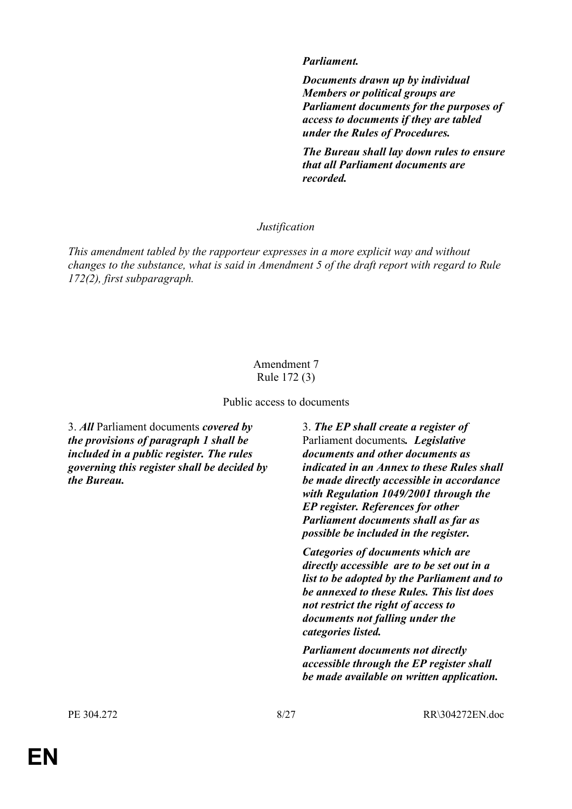## *Parliament.*

*Documents drawn up by individual Members or political groups are Parliament documents for the purposes of access to documents if they are tabled under the Rules of Procedures.* 

*The Bureau shall lay down rules to ensure that all Parliament documents are recorded.* 

## *Justification*

*This amendment tabled by the rapporteur expresses in a more explicit way and without changes to the substance, what is said in Amendment 5 of the draft report with regard to Rule 172(2), first subparagraph.* 

## Amendment 7 Rule 172 (3)

Public access to documents

3. *All* Parliament documents *covered by the provisions of paragraph 1 shall be included in a public register. The rules governing this register shall be decided by the Bureau.*

3. *The EP shall create a register of*  Parliament documents*. Legislative documents and other documents as indicated in an Annex to these Rules shall be made directly accessible in accordance with Regulation 1049/2001 through the EP register. References for other Parliament documents shall as far as possible be included in the register.*

*Categories of documents which are directly accessible are to be set out in a list to be adopted by the Parliament and to be annexed to these Rules. This list does not restrict the right of access to documents not falling under the categories listed.* 

*Parliament documents not directly accessible through the EP register shall be made available on written application.* 

PE 304.272 8/27 RR\304272EN.doc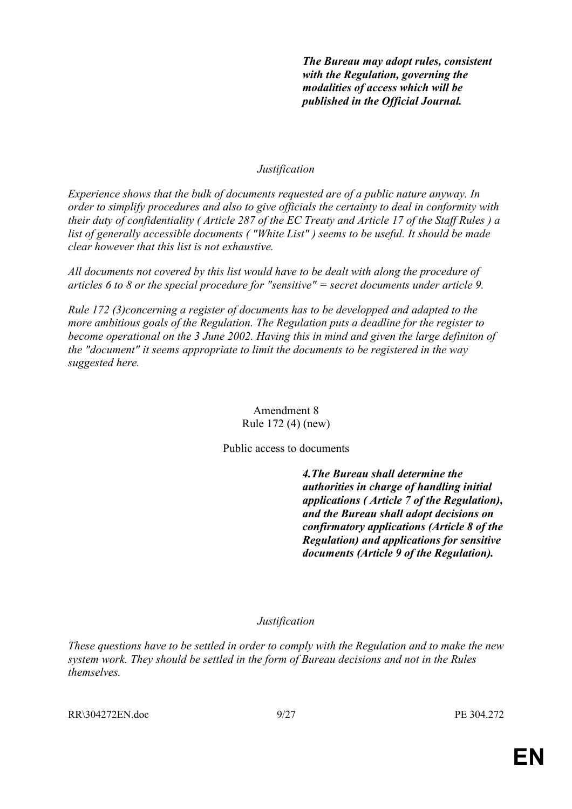*The Bureau may adopt rules, consistent with the Regulation, governing the modalities of access which will be published in the Official Journal.* 

## *Justification*

*Experience shows that the bulk of documents requested are of a public nature anyway. In order to simplify procedures and also to give officials the certainty to deal in conformity with their duty of confidentiality ( Article 287 of the EC Treaty and Article 17 of the Staff Rules ) a list of generally accessible documents ( "White List" ) seems to be useful. It should be made clear however that this list is not exhaustive.* 

*All documents not covered by this list would have to be dealt with along the procedure of articles 6 to 8 or the special procedure for "sensitive" = secret documents under article 9.* 

*Rule 172 (3)concerning a register of documents has to be developped and adapted to the more ambitious goals of the Regulation. The Regulation puts a deadline for the register to become operational on the 3 June 2002. Having this in mind and given the large definiton of the "document" it seems appropriate to limit the documents to be registered in the way suggested here.* 

> Amendment 8 Rule 172 (4) (new)

Public access to documents

 *4.The Bureau shall determine the authorities in charge of handling initial applications ( Article 7 of the Regulation), and the Bureau shall adopt decisions on confirmatory applications (Article 8 of the Regulation) and applications for sensitive documents (Article 9 of the Regulation).* 

## *Justification*

*These questions have to be settled in order to comply with the Regulation and to make the new system work. They should be settled in the form of Bureau decisions and not in the Rules themselves.*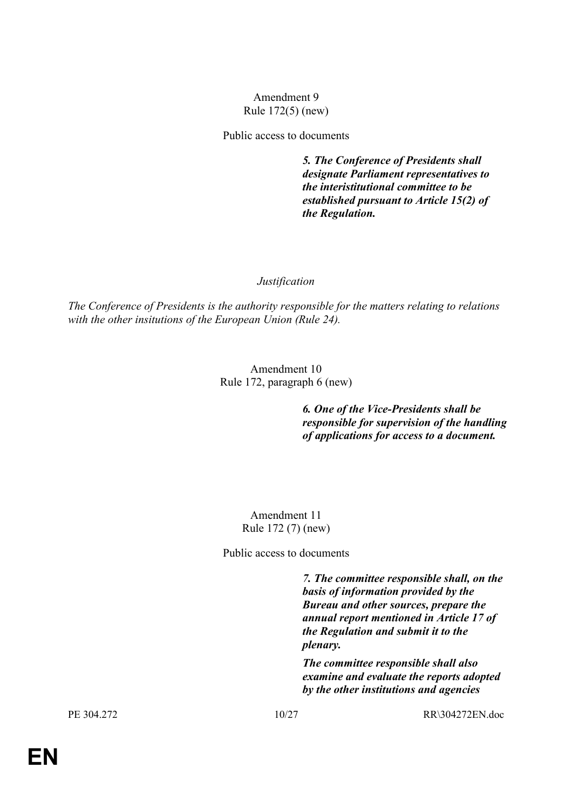## Amendment 9 Rule 172(5) (new)

Public access to documents

 *5. The Conference of Presidents shall designate Parliament representatives to the interistitutional committee to be established pursuant to Article 15(2) of the Regulation.*

## *Justification*

*The Conference of Presidents is the authority responsible for the matters relating to relations with the other insitutions of the European Union (Rule 24).* 

> Amendment 10 Rule 172, paragraph 6 (new)

> > *6. One of the Vice-Presidents shall be responsible for supervision of the handling of applications for access to a document.*

Amendment 11 Rule 172 (7) (new)

Public access to documents

 *7. The committee responsible shall, on the basis of information provided by the Bureau and other sources, prepare the annual report mentioned in Article 17 of the Regulation and submit it to the plenary.* 

*The committee responsible shall also examine and evaluate the reports adopted by the other institutions and agencies* 

PE 304.272 10/27 RR\304272EN.doc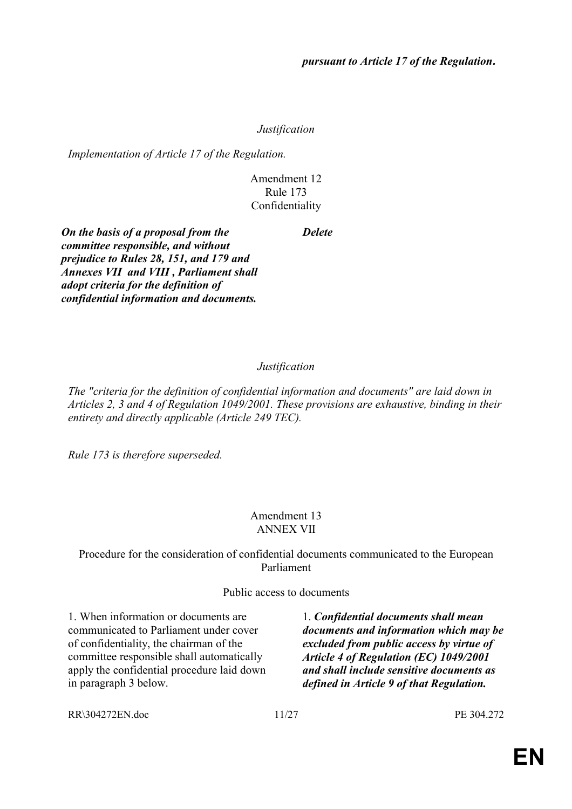## *Justification*

*Implementation of Article 17 of the Regulation.* 

## Amendment 12 Rule 173 Confidentiality

*Delete* 

*On the basis of a proposal from the committee responsible, and without prejudice to Rules 28, 151, and 179 and Annexes VII and VIII , Parliament shall adopt criteria for the definition of confidential information and documents.* 

# *Justification*

*The "criteria for the definition of confidential information and documents" are laid down in Articles 2, 3 and 4 of Regulation 1049/2001. These provisions are exhaustive, binding in their entirety and directly applicable (Article 249 TEC).* 

*Rule 173 is therefore superseded.* 

## Amendment 13 ANNEX VII

# Procedure for the consideration of confidential documents communicated to the European Parliament

## Public access to documents

1. When information or documents are communicated to Parliament under cover of confidentiality, the chairman of the committee responsible shall automatically apply the confidential procedure laid down in paragraph 3 below.

1. *Confidential documents shall mean documents and information which may be excluded from public access by virtue of Article 4 of Regulation (EC) 1049/2001 and shall include sensitive documents as defined in Article 9 of that Regulation.*

RR\304272EN.doc 11/27 PE 304.272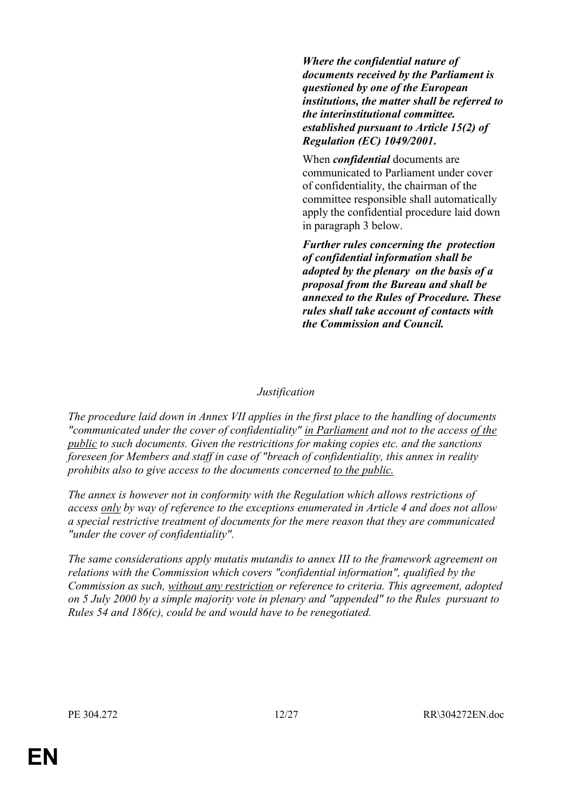*Where the confidential nature of documents received by the Parliament is questioned by one of the European institutions, the matter shall be referred to the interinstitutional committee. established pursuant to Article 15(2) of Regulation (EC) 1049/2001.*

 When *confidential* documents are communicated to Parliament under cover of confidentiality, the chairman of the committee responsible shall automatically apply the confidential procedure laid down in paragraph 3 below.

*Further rules concerning the protection of confidential information shall be adopted by the plenary on the basis of a proposal from the Bureau and shall be annexed to the Rules of Procedure. These rules shall take account of contacts with the Commission and Council.*

## *Justification*

*The procedure laid down in Annex VII applies in the first place to the handling of documents "communicated under the cover of confidentiality" in Parliament and not to the access of the public to such documents. Given the restricitions for making copies etc. and the sanctions foreseen for Members and staff in case of "breach of confidentiality, this annex in reality prohibits also to give access to the documents concerned to the public.* 

*The annex is however not in conformity with the Regulation which allows restrictions of access only by way of reference to the exceptions enumerated in Article 4 and does not allow a special restrictive treatment of documents for the mere reason that they are communicated "under the cover of confidentiality".* 

*The same considerations apply mutatis mutandis to annex III to the framework agreement on relations with the Commission which covers "confidential information", qualified by the Commission as such, without any restriction or reference to criteria. This agreement, adopted on 5 July 2000 by a simple majority vote in plenary and "appended" to the Rules pursuant to Rules 54 and 186(c), could be and would have to be renegotiated.*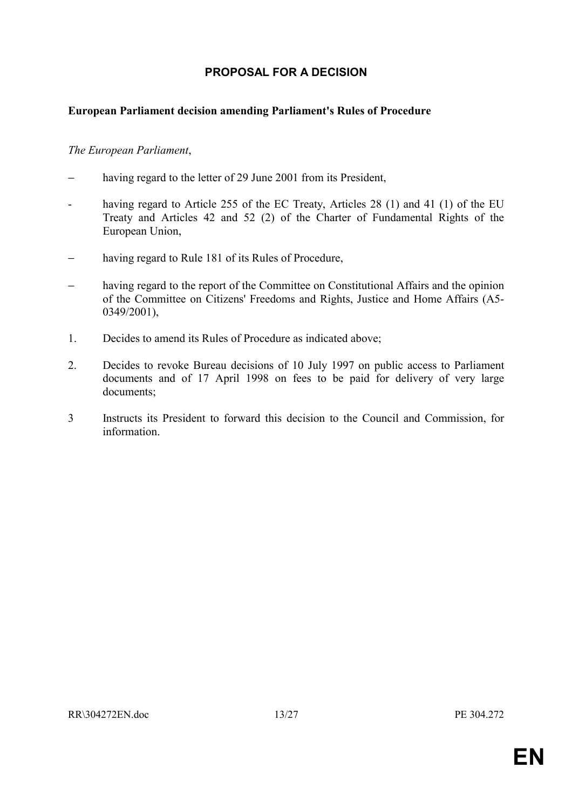# **PROPOSAL FOR A DECISION**

## <span id="page-12-0"></span>**European Parliament decision amending Parliament's Rules of Procedure**

## *The European Parliament*,

- having regard to the letter of 29 June 2001 from its President,
- having regard to Article 255 of the EC Treaty, Articles 28 (1) and 41 (1) of the EU Treaty and Articles 42 and 52 (2) of the Charter of Fundamental Rights of the European Union,
- having regard to Rule 181 of its Rules of Procedure,
- having regard to the report of the Committee on Constitutional Affairs and the opinion of the Committee on Citizens' Freedoms and Rights, Justice and Home Affairs (A5- 0349/2001),
- 1. Decides to amend its Rules of Procedure as indicated above;
- 2. Decides to revoke Bureau decisions of 10 July 1997 on public access to Parliament documents and of 17 April 1998 on fees to be paid for delivery of very large documents;
- 3 Instructs its President to forward this decision to the Council and Commission, for information.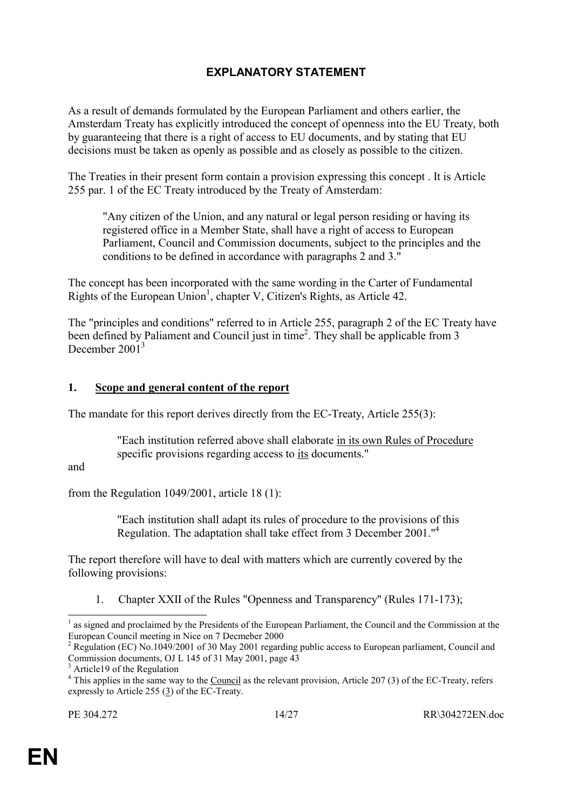# **EXPLANATORY STATEMENT**

<span id="page-13-0"></span>As a result of demands formulated by the European Parliament and others earlier, the Amsterdam Treaty has explicitly introduced the concept of openness into the EU Treaty, both by guaranteeing that there is a right of access to EU documents, and by stating that EU decisions must be taken as openly as possible and as closely as possible to the citizen.

The Treaties in their present form contain a provision expressing this concept . It is Article 255 par. 1 of the EC Treaty introduced by the Treaty of Amsterdam:

"Any citizen of the Union, and any natural or legal person residing or having its registered office in a Member State, shall have a right of access to European Parliament, Council and Commission documents, subject to the principles and the conditions to be defined in accordance with paragraphs 2 and 3."

The concept has been incorporated with the same wording in the Carter of Fundamental Rights of the European Union<sup>1</sup>, chapter V, Citizen's Rights, as Article 42.

The "principles and conditions" referred to in Article 255, paragraph 2 of the EC Treaty have been defined by Paliament and Council just in time<sup>2</sup>. They shall be applicable from 3 December 2001<sup>3</sup>

## **1. Scope and general content of the report**

The mandate for this report derives directly from the EC-Treaty, Article 255(3):

 "Each institution referred above shall elaborate in its own Rules of Procedure specific provisions regarding access to its documents."

and

l

from the Regulation 1049/2001, article 18 (1):

 "Each institution shall adapt its rules of procedure to the provisions of this Regulation. The adaptation shall take effect from 3 December 2001.<sup>"4</sup>

The report therefore will have to deal with matters which are currently covered by the following provisions:

1. Chapter XXII of the Rules "Openness and Transparency" (Rules 171-173);

<sup>1</sup> as signed and proclaimed by the Presidents of the European Parliament, the Council and the Commission at the European Council meeting in Nice on 7 Decmeber 2000

<sup>&</sup>lt;sup>2</sup> Regulation (EC) No.1049/2001 of 30 May 2001 regarding public access to European parliament, Council and Commission documents, OJ L 145 of 31 May 2001, page 43

<sup>3</sup> Article19 of the Regulation

 $4$  This applies in the same way to the Council as the relevant provision, Article 207 (3) of the EC-Treaty, refers expressly to Article 255 (3) of the EC-Treaty.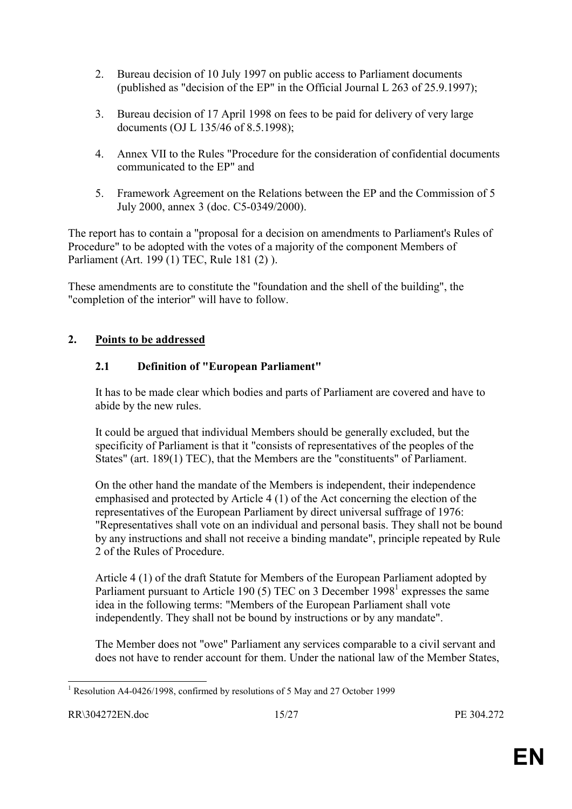- 2. Bureau decision of 10 July 1997 on public access to Parliament documents (published as "decision of the EP" in the Official Journal L 263 of 25.9.1997);
- 3. Bureau decision of 17 April 1998 on fees to be paid for delivery of very large documents (OJ L 135/46 of 8.5.1998);
- 4. Annex VII to the Rules "Procedure for the consideration of confidential documents communicated to the EP" and
- 5. Framework Agreement on the Relations between the EP and the Commission of 5 July 2000, annex 3 (doc. C5-0349/2000).

The report has to contain a "proposal for a decision on amendments to Parliament's Rules of Procedure" to be adopted with the votes of a majority of the component Members of Parliament (Art. 199 (1) TEC, Rule 181 (2) ).

These amendments are to constitute the "foundation and the shell of the building", the "completion of the interior" will have to follow.

# **2. Points to be addressed**

# **2.1 Definition of "European Parliament"**

It has to be made clear which bodies and parts of Parliament are covered and have to abide by the new rules.

It could be argued that individual Members should be generally excluded, but the specificity of Parliament is that it "consists of representatives of the peoples of the States" (art. 189(1) TEC), that the Members are the "constituents" of Parliament.

On the other hand the mandate of the Members is independent, their independence emphasised and protected by Article 4 (1) of the Act concerning the election of the representatives of the European Parliament by direct universal suffrage of 1976: "Representatives shall vote on an individual and personal basis. They shall not be bound by any instructions and shall not receive a binding mandate", principle repeated by Rule 2 of the Rules of Procedure.

Article 4 (1) of the draft Statute for Members of the European Parliament adopted by Parliament pursuant to Article 190 (5) TEC on 3 December 1998<sup>1</sup> expresses the same idea in the following terms: "Members of the European Parliament shall vote independently. They shall not be bound by instructions or by any mandate".

The Member does not "owe" Parliament any services comparable to a civil servant and does not have to render account for them. Under the national law of the Member States,

<sup>&</sup>lt;sup>1</sup> Resolution A4-0426/1998, confirmed by resolutions of 5 May and 27 October 1999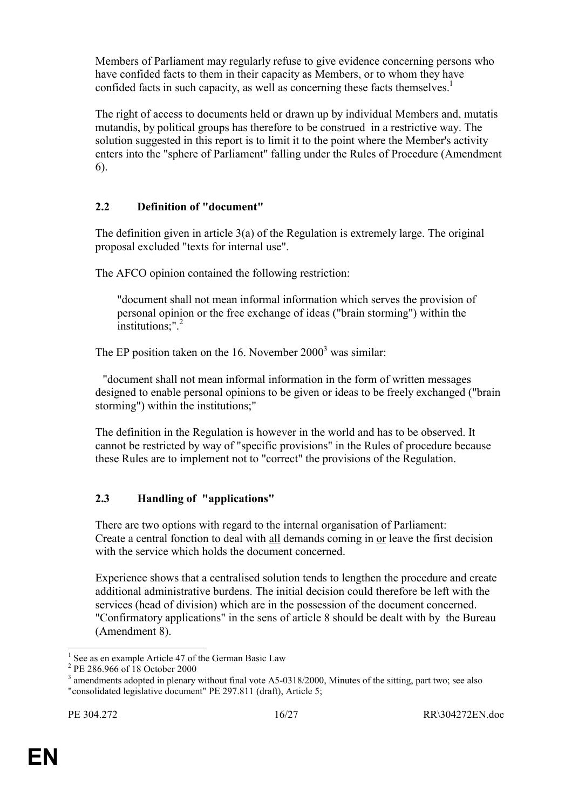Members of Parliament may regularly refuse to give evidence concerning persons who have confided facts to them in their capacity as Members, or to whom they have confided facts in such capacity, as well as concerning these facts themselves.<sup>1</sup>

The right of access to documents held or drawn up by individual Members and, mutatis mutandis, by political groups has therefore to be construed in a restrictive way. The solution suggested in this report is to limit it to the point where the Member's activity enters into the "sphere of Parliament" falling under the Rules of Procedure (Amendment 6).

# **2.2 Definition of "document"**

The definition given in article 3(a) of the Regulation is extremely large. The original proposal excluded "texts for internal use".

The AFCO opinion contained the following restriction:

 "document shall not mean informal information which serves the provision of personal opinion or the free exchange of ideas ("brain storming") within the institutions: $"$ <sup>2</sup>

The EP position taken on the 16. November  $2000<sup>3</sup>$  was similar:

 "document shall not mean informal information in the form of written messages designed to enable personal opinions to be given or ideas to be freely exchanged ("brain storming") within the institutions;"

The definition in the Regulation is however in the world and has to be observed. It cannot be restricted by way of "specific provisions" in the Rules of procedure because these Rules are to implement not to "correct" the provisions of the Regulation.

# **2.3 Handling of "applications"**

There are two options with regard to the internal organisation of Parliament: Create a central fonction to deal with all demands coming in or leave the first decision with the service which holds the document concerned.

Experience shows that a centralised solution tends to lengthen the procedure and create additional administrative burdens. The initial decision could therefore be left with the services (head of division) which are in the possession of the document concerned. "Confirmatory applications" in the sens of article 8 should be dealt with by the Bureau (Amendment 8).

l

<sup>1</sup> See as en example Article 47 of the German Basic Law

<sup>2</sup> PE 286.966 of 18 October 2000

 $3$  amendments adopted in plenary without final vote A5-0318/2000, Minutes of the sitting, part two; see also "consolidated legislative document" PE 297.811 (draft), Article 5;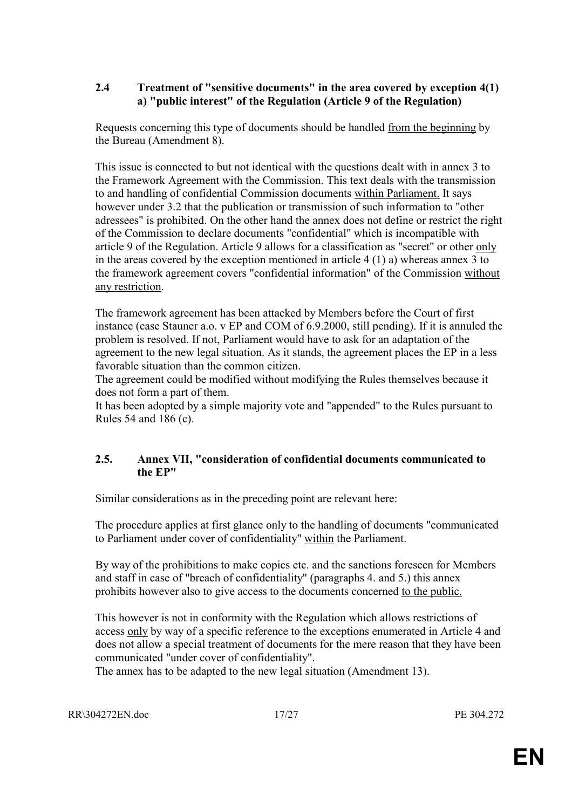## **2.4 Treatment of "sensitive documents" in the area covered by exception 4(1) a) "public interest" of the Regulation (Article 9 of the Regulation)**

Requests concerning this type of documents should be handled from the beginning by the Bureau (Amendment 8).

This issue is connected to but not identical with the questions dealt with in annex 3 to the Framework Agreement with the Commission. This text deals with the transmission to and handling of confidential Commission documents within Parliament. It says however under 3.2 that the publication or transmission of such information to "other adressees" is prohibited. On the other hand the annex does not define or restrict the right of the Commission to declare documents "confidential" which is incompatible with article 9 of the Regulation. Article 9 allows for a classification as "secret" or other only in the areas covered by the exception mentioned in article 4 (1) a) whereas annex 3 to the framework agreement covers "confidential information" of the Commission without any restriction.

The framework agreement has been attacked by Members before the Court of first instance (case Stauner a.o. v EP and COM of 6.9.2000, still pending). If it is annuled the problem is resolved. If not, Parliament would have to ask for an adaptation of the agreement to the new legal situation. As it stands, the agreement places the EP in a less favorable situation than the common citizen.

The agreement could be modified without modifying the Rules themselves because it does not form a part of them.

It has been adopted by a simple majority vote and "appended" to the Rules pursuant to Rules 54 and 186 (c).

# **2.5. Annex VII, "consideration of confidential documents communicated to the EP"**

Similar considerations as in the preceding point are relevant here:

The procedure applies at first glance only to the handling of documents "communicated to Parliament under cover of confidentiality" within the Parliament.

By way of the prohibitions to make copies etc. and the sanctions foreseen for Members and staff in case of "breach of confidentiality" (paragraphs 4. and 5.) this annex prohibits however also to give access to the documents concerned to the public.

This however is not in conformity with the Regulation which allows restrictions of access only by way of a specific reference to the exceptions enumerated in Article 4 and does not allow a special treatment of documents for the mere reason that they have been communicated "under cover of confidentiality".

The annex has to be adapted to the new legal situation (Amendment 13).

RR\304272EN.doc 17/27 PE 304.272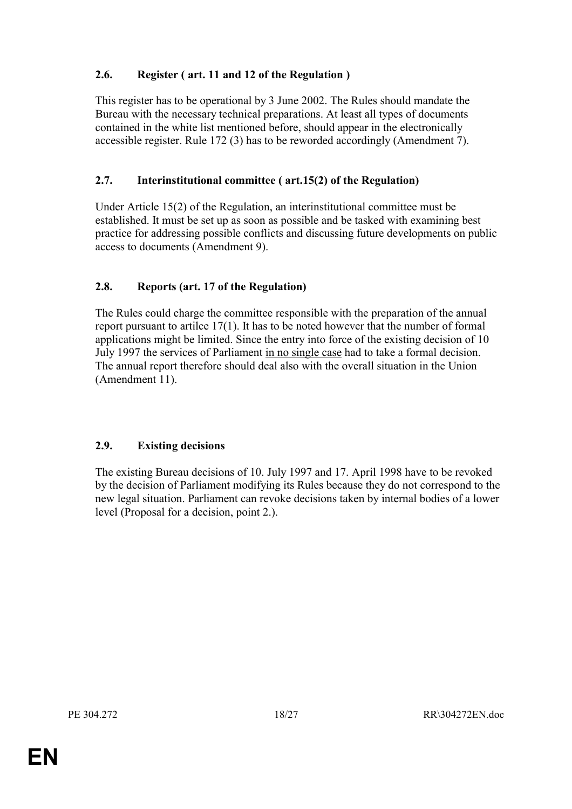# **2.6. Register ( art. 11 and 12 of the Regulation )**

This register has to be operational by 3 June 2002. The Rules should mandate the Bureau with the necessary technical preparations. At least all types of documents contained in the white list mentioned before, should appear in the electronically accessible register. Rule 172 (3) has to be reworded accordingly (Amendment 7).

# **2.7. Interinstitutional committee ( art.15(2) of the Regulation)**

Under Article 15(2) of the Regulation, an interinstitutional committee must be established. It must be set up as soon as possible and be tasked with examining best practice for addressing possible conflicts and discussing future developments on public access to documents (Amendment 9).

# **2.8. Reports (art. 17 of the Regulation)**

The Rules could charge the committee responsible with the preparation of the annual report pursuant to artilce 17(1). It has to be noted however that the number of formal applications might be limited. Since the entry into force of the existing decision of 10 July 1997 the services of Parliament in no single case had to take a formal decision. The annual report therefore should deal also with the overall situation in the Union (Amendment 11).

## **2.9. Existing decisions**

The existing Bureau decisions of 10. July 1997 and 17. April 1998 have to be revoked by the decision of Parliament modifying its Rules because they do not correspond to the new legal situation. Parliament can revoke decisions taken by internal bodies of a lower level (Proposal for a decision, point 2.).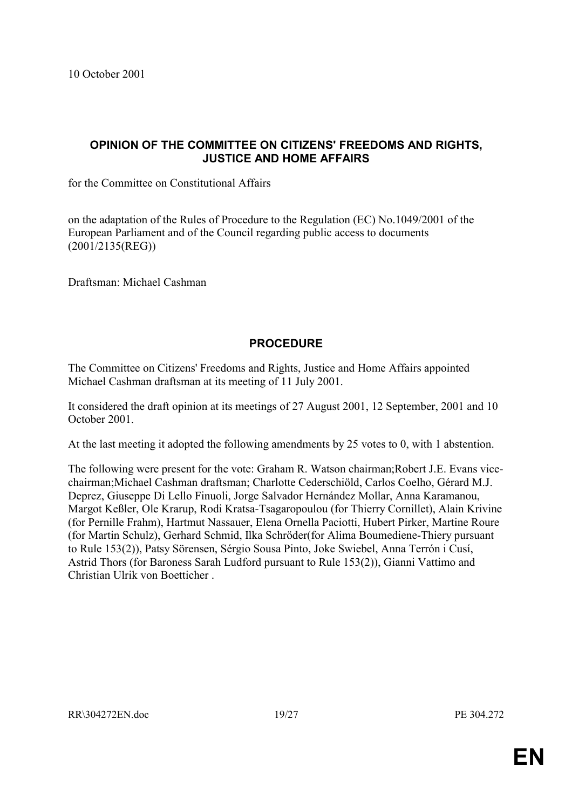# <span id="page-18-0"></span>**OPINION OF THE COMMITTEE ON CITIZENS' FREEDOMS AND RIGHTS, JUSTICE AND HOME AFFAIRS**

for the Committee on Constitutional Affairs

on the adaptation of the Rules of Procedure to the Regulation (EC) No.1049/2001 of the European Parliament and of the Council regarding public access to documents (2001/2135(REG))

Draftsman: Michael Cashman

# **PROCEDURE**

The Committee on Citizens' Freedoms and Rights, Justice and Home Affairs appointed Michael Cashman draftsman at its meeting of 11 July 2001.

It considered the draft opinion at its meetings of 27 August 2001, 12 September, 2001 and 10 October 2001.

At the last meeting it adopted the following amendments by 25 votes to 0, with 1 abstention.

The following were present for the vote: Graham R. Watson chairman;Robert J.E. Evans vicechairman;Michael Cashman draftsman; Charlotte Cederschiöld, Carlos Coelho, Gérard M.J. Deprez, Giuseppe Di Lello Finuoli, Jorge Salvador Hernández Mollar, Anna Karamanou, Margot Kefller, Ole Krarup, Rodi Kratsa-Tsagaropoulou (for Thierry Cornillet), Alain Krivine (for Pernille Frahm), Hartmut Nassauer, Elena Ornella Paciotti, Hubert Pirker, Martine Roure (for Martin Schulz), Gerhard Schmid, Ilka Schröder(for Alima Boumediene-Thiery pursuant to Rule 153(2)), Patsy Sörensen, Sérgio Sousa Pinto, Joke Swiebel, Anna Terrón i Cusí, Astrid Thors (for Baroness Sarah Ludford pursuant to Rule 153(2)), Gianni Vattimo and Christian Ulrik von Boetticher .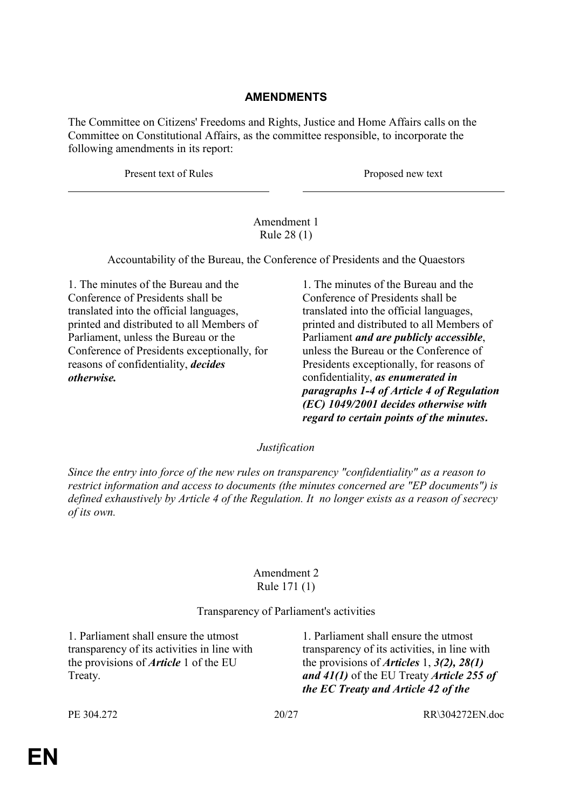# **AMENDMENTS**

The Committee on Citizens' Freedoms and Rights, Justice and Home Affairs calls on the Committee on Constitutional Affairs, as the committee responsible, to incorporate the following amendments in its report:

Present text of Rules Proposed new text

## Amendment 1 Rule 28 (1)

Accountability of the Bureau, the Conference of Presidents and the Quaestors

1. The minutes of the Bureau and the Conference of Presidents shall be translated into the official languages, printed and distributed to all Members of Parliament, unless the Bureau or the Conference of Presidents exceptionally, for reasons of confidentiality, *decides otherwise.*

1. The minutes of the Bureau and the Conference of Presidents shall be translated into the official languages, printed and distributed to all Members of Parliament *and are publicly accessible*, unless the Bureau or the Conference of Presidents exceptionally, for reasons of confidentiality, *as enumerated in paragraphs 1-4 of Article 4 of Regulation (EC) 1049/2001 decides otherwise with regard to certain points of the minutes.* 

## *Justification*

*Since the entry into force of the new rules on transparency "confidentiality" as a reason to restrict information and access to documents (the minutes concerned are "EP documents") is defined exhaustively by Article 4 of the Regulation. It no longer exists as a reason of secrecy of its own.* 

## Amendment 2 Rule 171 (1)

## Transparency of Parliament's activities

1. Parliament shall ensure the utmost transparency of its activities in line with the provisions of *Article* 1 of the EU Treaty.

1. Parliament shall ensure the utmost transparency of its activities, in line with the provisions of *Articles* 1, *3(2), 28(1) and 41(1)* of the EU Treaty *Article 255 of the EC Treaty and Article 42 of the*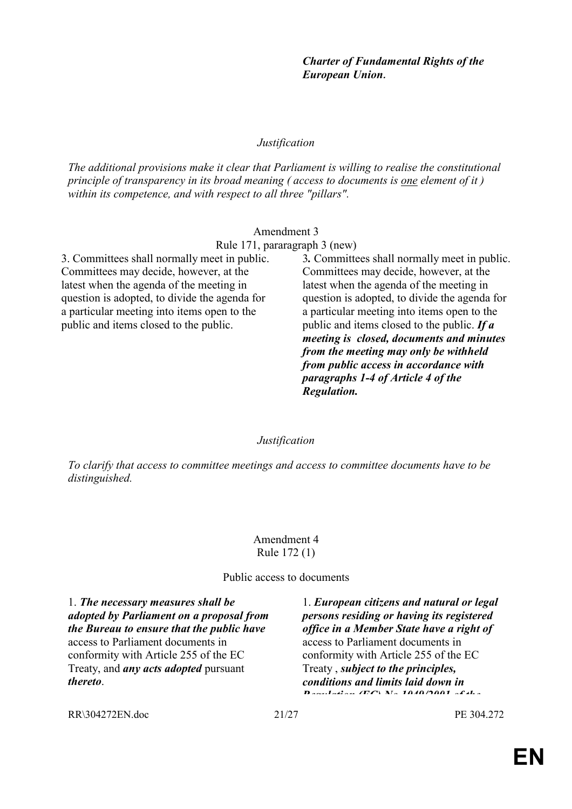*Charter of Fundamental Rights of the European Union.*

3*.* Committees shall normally meet in public. Committees may decide, however, at the latest when the agenda of the meeting in question is adopted, to divide the agenda for a particular meeting into items open to the public and items closed to the public. *If a meeting is closed, documents and minutes from the meeting may only be withheld from public access in accordance with paragraphs 1-4 of Article 4 of the* 

*Justification* 

*The additional provisions make it clear that Parliament is willing to realise the constitutional principle of transparency in its broad meaning ( access to documents is one element of it ) within its competence, and with respect to all three "pillars".* 

## Amendment 3

Rule 171, pararagraph 3 (new)

3. Committees shall normally meet in public. Committees may decide, however, at the latest when the agenda of the meeting in question is adopted, to divide the agenda for a particular meeting into items open to the public and items closed to the public.

#### *Justification*

*Regulation.* 

*To clarify that access to committee meetings and access to committee documents have to be distinguished.* 

#### Amendment 4 Rule 172 (1)

Public access to documents

1. *The necessary measures shall be adopted by Parliament on a proposal from the Bureau to ensure that the public have* access to Parliament documents in conformity with Article 255 of the EC Treaty, and *any acts adopted* pursuant *thereto*.

1. *European citizens and natural or legal persons residing or having its registered office in a Member State have a right of*  access to Parliament documents in conformity with Article 255 of the EC Treaty , *subject to the principles, conditions and limits laid down in Regulation (EC) No 1049/2001 of the*

RR\304272EN.doc 21/27 PE 304.272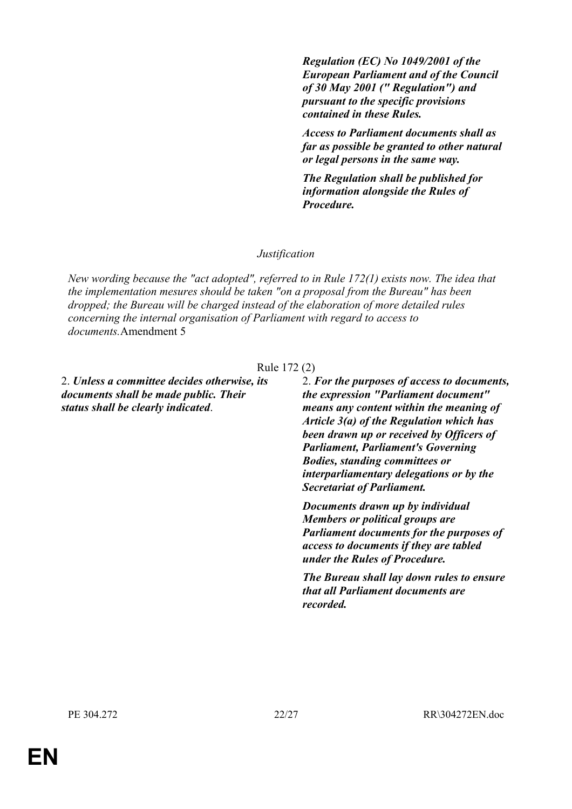*Regulation (EC) No 1049/2001 of the European Parliament and of the Council of 30 May 2001 (" Regulation") and pursuant to the specific provisions contained in these Rules.* 

*Access to Parliament documents shall as far as possible be granted to other natural or legal persons in the same way.* 

*The Regulation shall be published for information alongside the Rules of Procedure.*

#### *Justification*

*New wording because the "act adopted", referred to in Rule 172(1) exists now. The idea that the implementation mesures should be taken "on a proposal from the Bureau" has been dropped; the Bureau will be charged instead of the elaboration of more detailed rules concerning the internal organisation of Parliament with regard to access to documents.*Amendment 5

#### Rule 172 (2)

2. *Unless a committee decides otherwise, its documents shall be made public. Their status shall be clearly indicated*.

2. *For the purposes of access to documents, the expression "Parliament document" means any content within the meaning of Article 3(a) of the Regulation which has been drawn up or received by Officers of Parliament, Parliament's Governing Bodies, standing committees or interparliamentary delegations or by the Secretariat of Parliament.*

*Documents drawn up by individual Members or political groups are Parliament documents for the purposes of access to documents if they are tabled under the Rules of Procedure.*

*The Bureau shall lay down rules to ensure that all Parliament documents are recorded.*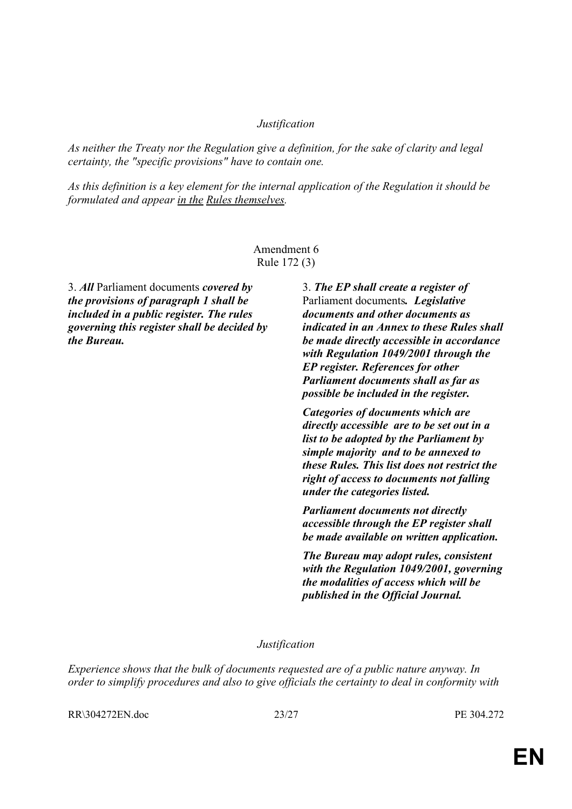## *Justification*

*As neither the Treaty nor the Regulation give a definition, for the sake of clarity and legal certainty, the "specific provisions" have to contain one.* 

*As this definition is a key element for the internal application of the Regulation it should be formulated and appear in the Rules themselves.* 

## Amendment 6 Rule 172 (3)

3. *All* Parliament documents *covered by the provisions of paragraph 1 shall be included in a public register. The rules governing this register shall be decided by the Bureau.*

3. *The EP shall create a register of*  Parliament documents*. Legislative documents and other documents as indicated in an Annex to these Rules shall be made directly accessible in accordance with Regulation 1049/2001 through the EP register. References for other Parliament documents shall as far as possible be included in the register.*

*Categories of documents which are directly accessible are to be set out in a list to be adopted by the Parliament by simple majority and to be annexed to these Rules. This list does not restrict the right of access to documents not falling under the categories listed.* 

*Parliament documents not directly accessible through the EP register shall be made available on written application.* 

*The Bureau may adopt rules, consistent with the Regulation 1049/2001, governing the modalities of access which will be published in the Official Journal.* 

#### *Justification*

*Experience shows that the bulk of documents requested are of a public nature anyway. In order to simplify procedures and also to give officials the certainty to deal in conformity with* 

RR\304272EN.doc 23/27 PE 304.272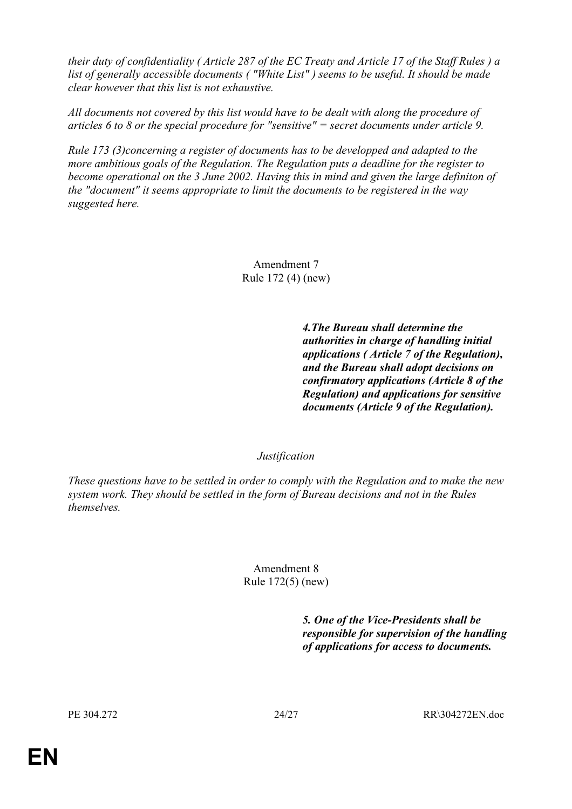*their duty of confidentiality ( Article 287 of the EC Treaty and Article 17 of the Staff Rules ) a list of generally accessible documents ( "White List" ) seems to be useful. It should be made clear however that this list is not exhaustive.* 

*All documents not covered by this list would have to be dealt with along the procedure of articles 6 to 8 or the special procedure for "sensitive" = secret documents under article 9.* 

*Rule 173 (3)concerning a register of documents has to be developped and adapted to the more ambitious goals of the Regulation. The Regulation puts a deadline for the register to become operational on the 3 June 2002. Having this in mind and given the large definiton of the "document" it seems appropriate to limit the documents to be registered in the way suggested here.* 

> Amendment 7 Rule 172 (4) (new)

> > *4.The Bureau shall determine the authorities in charge of handling initial applications ( Article 7 of the Regulation), and the Bureau shall adopt decisions on confirmatory applications (Article 8 of the Regulation) and applications for sensitive documents (Article 9 of the Regulation).*

## *Justification*

*These questions have to be settled in order to comply with the Regulation and to make the new system work. They should be settled in the form of Bureau decisions and not in the Rules themselves.* 

## Amendment 8 Rule 172(5) (new)

*5. One of the Vice-Presidents shall be responsible for supervision of the handling of applications for access to documents.*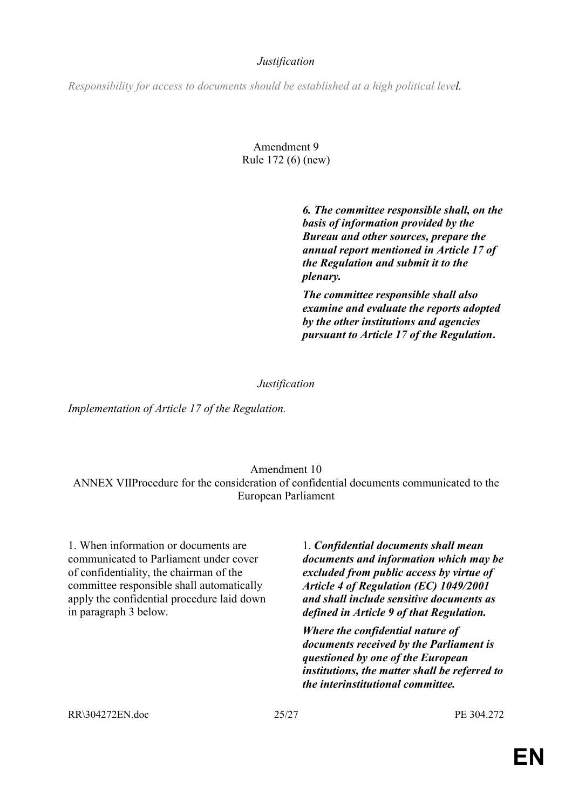## *Justification*

*Responsibility for access to documents should be established at a high political level.* 

# Amendment 9 Rule 172 (6) (new)

 *6. The committee responsible shall, on the basis of information provided by the Bureau and other sources, prepare the annual report mentioned in Article 17 of the Regulation and submit it to the plenary.* 

*The committee responsible shall also examine and evaluate the reports adopted by the other institutions and agencies pursuant to Article 17 of the Regulation.*

## *Justification*

*Implementation of Article 17 of the Regulation.* 

# Amendment 10

ANNEX VIIProcedure for the consideration of confidential documents communicated to the European Parliament

1. When information or documents are communicated to Parliament under cover of confidentiality, the chairman of the committee responsible shall automatically apply the confidential procedure laid down in paragraph 3 below.

1. *Confidential documents shall mean documents and information which may be excluded from public access by virtue of Article 4 of Regulation (EC) 1049/2001 and shall include sensitive documents as defined in Article 9 of that Regulation.*

*Where the confidential nature of documents received by the Parliament is questioned by one of the European institutions, the matter shall be referred to the interinstitutional committee.* 

RR\304272EN.doc 25/27 PE 304.272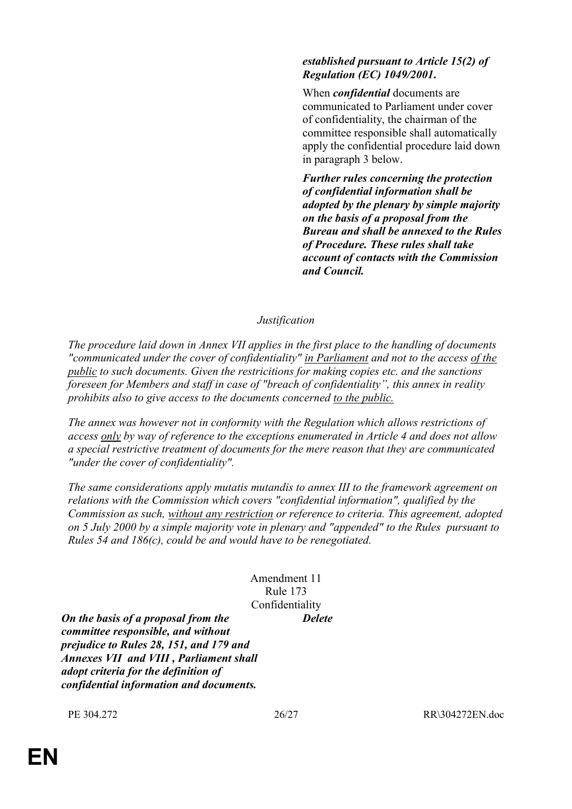# *established pursuant to Article 15(2) of Regulation (EC) 1049/2001.*

 When *confidential* documents are communicated to Parliament under cover of confidentiality, the chairman of the committee responsible shall automatically apply the confidential procedure laid down in paragraph 3 below.

*Further rules concerning the protection of confidential information shall be adopted by the plenary by simple majority on the basis of a proposal from the Bureau and shall be annexed to the Rules of Procedure. These rules shall take account of contacts with the Commission and Council.*

# *Justification*

*The procedure laid down in Annex VII applies in the first place to the handling of documents "communicated under the cover of confidentiality" in Parliament and not to the access of the public to such documents. Given the restricitions for making copies etc. and the sanctions foreseen for Members and staff in case of "breach of confidentialityî, this annex in reality prohibits also to give access to the documents concerned to the public.* 

*The annex was however not in conformity with the Regulation which allows restrictions of access only by way of reference to the exceptions enumerated in Article 4 and does not allow a special restrictive treatment of documents for the mere reason that they are communicated "under the cover of confidentiality".* 

*The same considerations apply mutatis mutandis to annex III to the framework agreement on relations with the Commission which covers "confidential information", qualified by the Commission as such, without any restriction or reference to criteria. This agreement, adopted on 5 July 2000 by a simple majority vote in plenary and "appended" to the Rules pursuant to Rules 54 and 186(c), could be and would have to be renegotiated.* 

## Amendment 11 Rule 173 Confidentiality *Delete*

*On the basis of a proposal from the committee responsible, and without prejudice to Rules 28, 151, and 179 and Annexes VII and VIII , Parliament shall adopt criteria for the definition of confidential information and documents.*